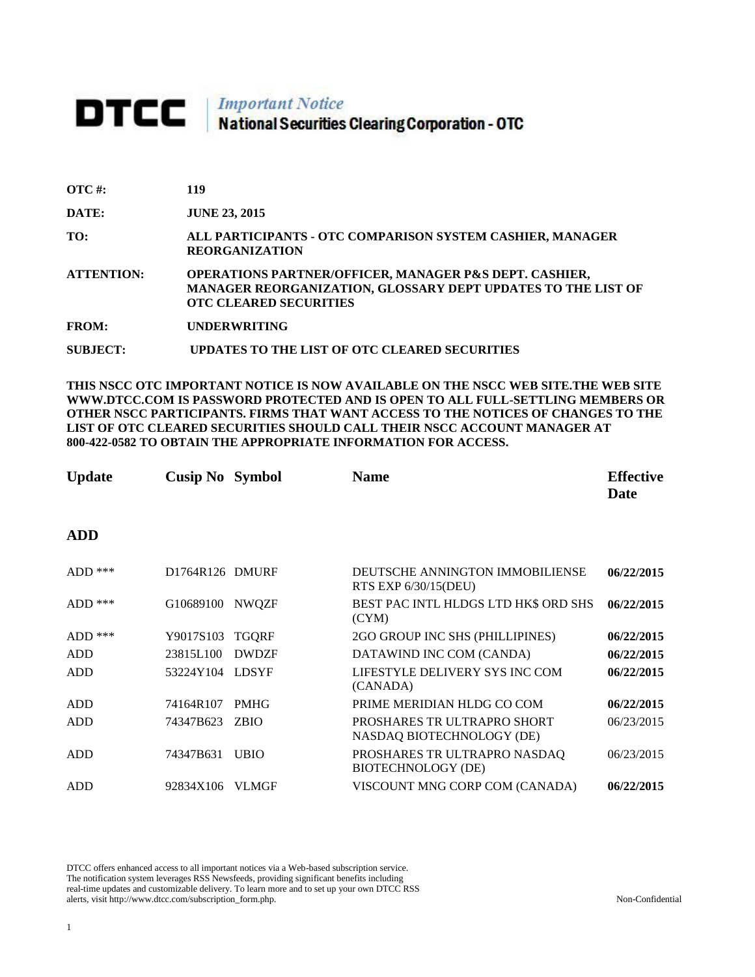# **DTCC** National Securities Clearing Corporation - OTC

| $\overline{OTC}$ #: | 119                                                                                                                                                                |
|---------------------|--------------------------------------------------------------------------------------------------------------------------------------------------------------------|
| DATE:               | <b>JUNE 23, 2015</b>                                                                                                                                               |
| TO:                 | ALL PARTICIPANTS - OTC COMPARISON SYSTEM CASHIER, MANAGER<br><b>REORGANIZATION</b>                                                                                 |
| <b>ATTENTION:</b>   | <b>OPERATIONS PARTNER/OFFICER, MANAGER P&amp;S DEPT. CASHIER,</b><br>MANAGER REORGANIZATION, GLOSSARY DEPT UPDATES TO THE LIST OF<br><b>OTC CLEARED SECURITIES</b> |
| <b>FROM:</b>        | <b>UNDERWRITING</b>                                                                                                                                                |
| SUBJECT:            | UPDATES TO THE LIST OF OTC CLEARED SECURITIES                                                                                                                      |

**THIS NSCC OTC IMPORTANT NOTICE IS NOW AVAILABLE ON THE NSCC WEB SITE.THE WEB SITE WWW.DTCC.COM IS PASSWORD PROTECTED AND IS OPEN TO ALL FULL-SETTLING MEMBERS OR OTHER NSCC PARTICIPANTS. FIRMS THAT WANT ACCESS TO THE NOTICES OF CHANGES TO THE LIST OF OTC CLEARED SECURITIES SHOULD CALL THEIR NSCC ACCOUNT MANAGER AT 800-422-0582 TO OBTAIN THE APPROPRIATE INFORMATION FOR ACCESS.** 

| <b>Update</b> | <b>Cusip No Symbol</b> |              | <b>Name</b>                                              | <b>Effective</b><br>Date |
|---------------|------------------------|--------------|----------------------------------------------------------|--------------------------|
| <b>ADD</b>    |                        |              |                                                          |                          |
| $ADD$ ***     | D1764R126 DMURF        |              | DEUTSCHE ANNINGTON IMMOBILIENSE<br>RTS EXP 6/30/15(DEU)  | 06/22/2015               |
| $ADD$ ***     | G10689100              | NWQZF        | BEST PAC INTL HLDGS LTD HK\$ ORD SHS<br>(CYM)            | 06/22/2015               |
| $ADD$ ***     | Y9017S103              | <b>TGQRF</b> | 2GO GROUP INC SHS (PHILLIPINES)                          | 06/22/2015               |
| ADD           | 23815L100              | <b>DWDZF</b> | DATAWIND INC COM (CANDA)                                 | 06/22/2015               |
| ADD           | 53224Y104 LDSYF        |              | LIFESTYLE DELIVERY SYS INC COM<br>(CANADA)               | 06/22/2015               |
| ADD           | 74164R107              | <b>PMHG</b>  | PRIME MERIDIAN HLDG CO COM                               | 06/22/2015               |
| ADD           | 74347B623              | <b>ZBIO</b>  | PROSHARES TRULTRAPRO SHORT<br>NASDAQ BIOTECHNOLOGY (DE)  | 06/23/2015               |
| <b>ADD</b>    | 74347B631              | <b>UBIO</b>  | PROSHARES TRULTRAPRO NASDAQ<br><b>BIOTECHNOLOGY (DE)</b> | 06/23/2015               |
| <b>ADD</b>    | 92834X106              | <b>VLMGF</b> | VISCOUNT MNG CORP COM (CANADA)                           | 06/22/2015               |

DTCC offers enhanced access to all important notices via a Web-based subscription service. The notification system leverages RSS Newsfeeds, providing significant benefits including real-time updates and customizable delivery. To learn more and to set up your own DTCC RSS alerts, visit http://www.dtcc.com/subscription\_form.php. Non-Confidential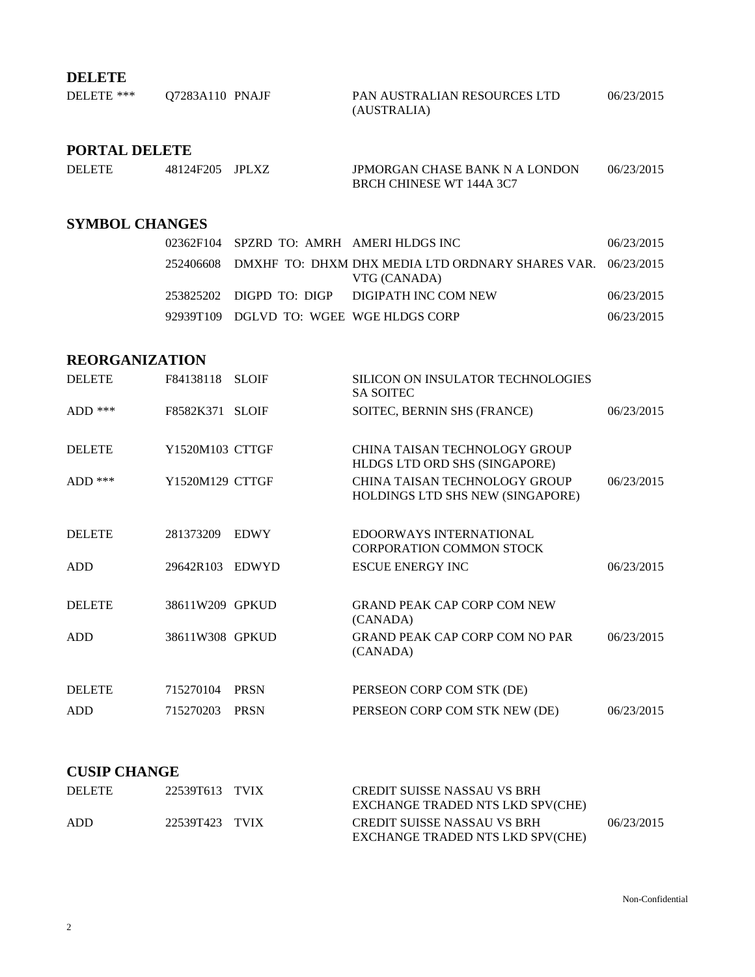# **DELETE**

| DELETE *** | 07283A110 PNAJF | PAN AUSTRALIAN RESOURCES LTD | 06/23/2015 |
|------------|-----------------|------------------------------|------------|
|            |                 | (AUSTRALIA)                  |            |

## **PORTAL DELETE**

| <b>DELETE</b> | 48124F205 JPLXZ | <b>JPMORGAN CHASE BANK N A LONDON</b> | 06/23/2015 |
|---------------|-----------------|---------------------------------------|------------|
|               |                 | BRCH CHINESE WT 144A 3C7              |            |

#### **SYMBOL CHANGES**

|  | 02362F104 SPZRD TO: AMRH AMERI HLDGS INC |                                                                                       | 06/23/2015 |
|--|------------------------------------------|---------------------------------------------------------------------------------------|------------|
|  |                                          | 252406608 DMXHF TO: DHXM DHX MEDIA LTD ORDNARY SHARES VAR. 06/23/2015<br>VTG (CANADA) |            |
|  |                                          | 253825202 DIGPD TO: DIGP DIGIPATH INC COM NEW                                         | 06/23/2015 |
|  | 92939T109 DGLVD TO: WGEE WGE HLDGS CORP  |                                                                                       | 06/23/2015 |

#### **REORGANIZATION**

| <b>DELETE</b> | F84138118 SLOIF |              | <b>SILICON ON INSULATOR TECHNOLOGIES</b><br><b>SA SOITEC</b>             |            |
|---------------|-----------------|--------------|--------------------------------------------------------------------------|------------|
| ADD $***$     | F8582K371 SLOIF |              | SOITEC, BERNIN SHS (FRANCE)                                              | 06/23/2015 |
| <b>DELETE</b> | Y1520M103 CTTGF |              | <b>CHINA TAISAN TECHNOLOGY GROUP</b><br>HLDGS LTD ORD SHS (SINGAPORE)    |            |
| $ADD$ ***     | Y1520M129 CTTGF |              | <b>CHINA TAISAN TECHNOLOGY GROUP</b><br>HOLDINGS LTD SHS NEW (SINGAPORE) | 06/23/2015 |
| <b>DELETE</b> | 281373209       | <b>EDWY</b>  | EDOORWAYS INTERNATIONAL<br><b>CORPORATION COMMON STOCK</b>               |            |
| ADD           | 29642R103       | <b>EDWYD</b> | <b>ESCUE ENERGY INC</b>                                                  | 06/23/2015 |
| <b>DELETE</b> | 38611W209 GPKUD |              | <b>GRAND PEAK CAP CORP COM NEW</b><br>(CANADA)                           |            |
| <b>ADD</b>    | 38611W308 GPKUD |              | <b>GRAND PEAK CAP CORP COM NO PAR</b><br>(CANADA)                        | 06/23/2015 |
| <b>DELETE</b> | 715270104       | <b>PRSN</b>  | PERSEON CORP COM STK (DE)                                                |            |
| ADD           | 715270203       | <b>PRSN</b>  | PERSEON CORP COM STK NEW (DE)                                            | 06/23/2015 |

## **CUSIP CHANGE**

| <b>DELETE</b> | 22539T613 TVIX | <b>CREDIT SUISSE NASSAU VS BRH</b><br>EXCHANGE TRADED NTS LKD SPV(CHE) |            |
|---------------|----------------|------------------------------------------------------------------------|------------|
| ADD           | 22539T423 TVIX | CREDIT SUISSE NASSAU VS BRH<br>EXCHANGE TRADED NTS LKD SPV(CHE)        | 06/23/2015 |